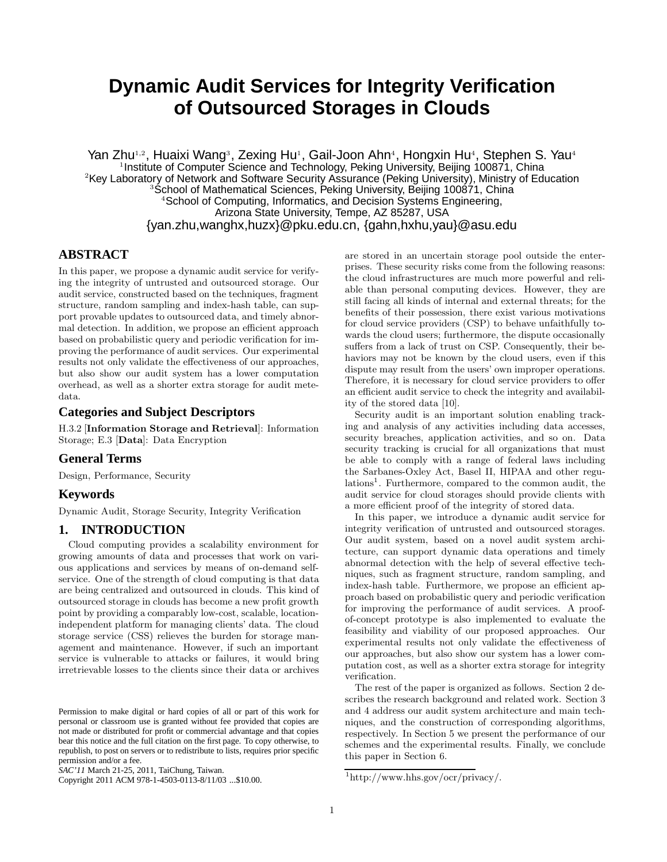# **Dynamic Audit Services for Integrity Verification of Outsourced Storages in Clouds**

Yan Zhu<sup>1,2</sup>, Huaixi Wang<sup>3</sup>, Zexing Hu<sup>1</sup>, Gail-Joon Ahn<sup>4</sup>, Hongxin Hu<sup>4</sup>, Stephen S. Yau<sup>4</sup> <sup>1</sup> Institute of Computer Science and Technology, Peking University, Beijing 100871, China <sup>2</sup>Key Laboratory of Network and Software Security Assurance (Peking University), Ministry of Education School of Mathematical Sciences, Peking University, Beijing 100871, China <sup>4</sup>School of Computing, Informatics, and Decision Systems Engineering, Arizona State University, Tempe, AZ 85287, USA {yan.zhu,wanghx,huzx}@pku.edu.cn, {gahn,hxhu,yau}@asu.edu

## **ABSTRACT**

In this paper, we propose a dynamic audit service for verifying the integrity of untrusted and outsourced storage. Our audit service, constructed based on the techniques, fragment structure, random sampling and index-hash table, can support provable updates to outsourced data, and timely abnormal detection. In addition, we propose an efficient approach based on probabilistic query and periodic verification for improving the performance of audit services. Our experimental results not only validate the effectiveness of our approaches, but also show our audit system has a lower computation overhead, as well as a shorter extra storage for audit metedata.

## **Categories and Subject Descriptors**

H.3.2 [Information Storage and Retrieval]: Information Storage; E.3 [Data]: Data Encryption

#### **General Terms**

Design, Performance, Security

#### **Keywords**

Dynamic Audit, Storage Security, Integrity Verification

### **1. INTRODUCTION**

Cloud computing provides a scalability environment for growing amounts of data and processes that work on various applications and services by means of on-demand selfservice. One of the strength of cloud computing is that data are being centralized and outsourced in clouds. This kind of outsourced storage in clouds has become a new profit growth point by providing a comparably low-cost, scalable, locationindependent platform for managing clients' data. The cloud storage service (CSS) relieves the burden for storage management and maintenance. However, if such an important service is vulnerable to attacks or failures, it would bring irretrievable losses to the clients since their data or archives

Copyright 2011 ACM 978-1-4503-0113-8/11/03 ...\$10.00.

are stored in an uncertain storage pool outside the enterprises. These security risks come from the following reasons: the cloud infrastructures are much more powerful and reliable than personal computing devices. However, they are still facing all kinds of internal and external threats; for the benefits of their possession, there exist various motivations for cloud service providers (CSP) to behave unfaithfully towards the cloud users; furthermore, the dispute occasionally suffers from a lack of trust on CSP. Consequently, their behaviors may not be known by the cloud users, even if this dispute may result from the users' own improper operations. Therefore, it is necessary for cloud service providers to offer an efficient audit service to check the integrity and availability of the stored data [10].

Security audit is an important solution enabling tracking and analysis of any activities including data accesses, security breaches, application activities, and so on. Data security tracking is crucial for all organizations that must be able to comply with a range of federal laws including the Sarbanes-Oxley Act, Basel II, HIPAA and other regulations<sup>1</sup>. Furthermore, compared to the common audit, the audit service for cloud storages should provide clients with a more efficient proof of the integrity of stored data.

In this paper, we introduce a dynamic audit service for integrity verification of untrusted and outsourced storages. Our audit system, based on a novel audit system architecture, can support dynamic data operations and timely abnormal detection with the help of several effective techniques, such as fragment structure, random sampling, and index-hash table. Furthermore, we propose an efficient approach based on probabilistic query and periodic verification for improving the performance of audit services. A proofof-concept prototype is also implemented to evaluate the feasibility and viability of our proposed approaches. Our experimental results not only validate the effectiveness of our approaches, but also show our system has a lower computation cost, as well as a shorter extra storage for integrity verification.

The rest of the paper is organized as follows. Section 2 describes the research background and related work. Section 3 and 4 address our audit system architecture and main techniques, and the construction of corresponding algorithms, respectively. In Section 5 we present the performance of our schemes and the experimental results. Finally, we conclude this paper in Section 6.

Permission to make digital or hard copies of all or part of this work for personal or classroom use is granted without fee provided that copies are not made or distributed for profit or commercial advantage and that copies bear this notice and the full citation on the first page. To copy otherwise, to republish, to post on servers or to redistribute to lists, requires prior specific permission and/or a fee.

*SAC'11* March 21-25, 2011, TaiChung, Taiwan.

<sup>1</sup> http://www.hhs.gov/ocr/privacy/.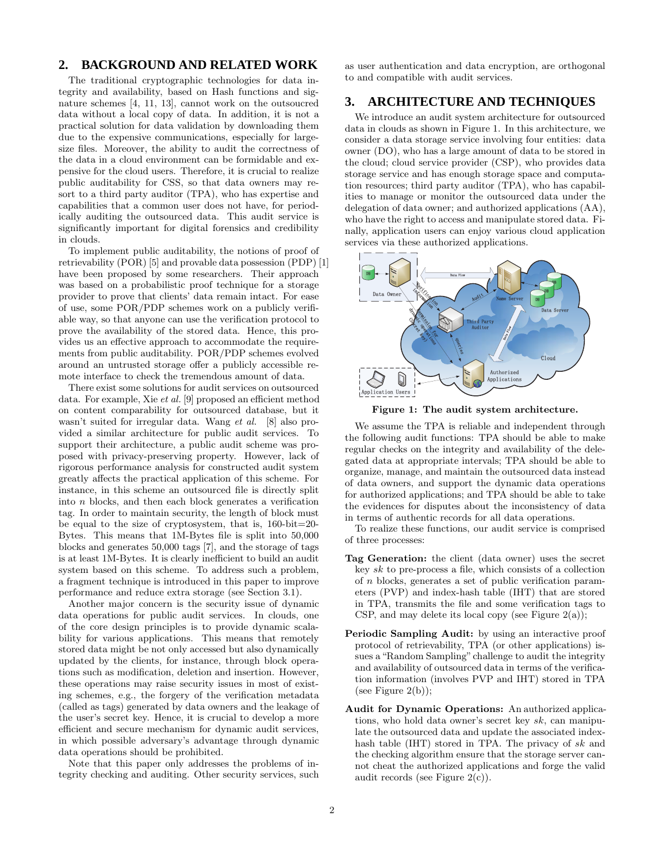## **2. BACKGROUND AND RELATED WORK**

The traditional cryptographic technologies for data integrity and availability, based on Hash functions and signature schemes [4, 11, 13], cannot work on the outsoucred data without a local copy of data. In addition, it is not a practical solution for data validation by downloading them due to the expensive communications, especially for largesize files. Moreover, the ability to audit the correctness of the data in a cloud environment can be formidable and expensive for the cloud users. Therefore, it is crucial to realize public auditability for CSS, so that data owners may resort to a third party auditor (TPA), who has expertise and capabilities that a common user does not have, for periodically auditing the outsourced data. This audit service is significantly important for digital forensics and credibility in clouds.

To implement public auditability, the notions of proof of retrievability (POR) [5] and provable data possession (PDP) [1] have been proposed by some researchers. Their approach was based on a probabilistic proof technique for a storage provider to prove that clients' data remain intact. For ease of use, some POR/PDP schemes work on a publicly verifiable way, so that anyone can use the verification protocol to prove the availability of the stored data. Hence, this provides us an effective approach to accommodate the requirements from public auditability. POR/PDP schemes evolved around an untrusted storage offer a publicly accessible remote interface to check the tremendous amount of data.

There exist some solutions for audit services on outsourced data. For example, Xie et al. [9] proposed an efficient method on content comparability for outsourced database, but it wasn't suited for irregular data. Wang et al. [8] also provided a similar architecture for public audit services. To support their architecture, a public audit scheme was proposed with privacy-preserving property. However, lack of rigorous performance analysis for constructed audit system greatly affects the practical application of this scheme. For instance, in this scheme an outsourced file is directly split into n blocks, and then each block generates a verification tag. In order to maintain security, the length of block must be equal to the size of cryptosystem, that is, 160-bit=20- Bytes. This means that 1M-Bytes file is split into 50,000 blocks and generates 50,000 tags [7], and the storage of tags is at least 1M-Bytes. It is clearly inefficient to build an audit system based on this scheme. To address such a problem, a fragment technique is introduced in this paper to improve performance and reduce extra storage (see Section 3.1).

Another major concern is the security issue of dynamic data operations for public audit services. In clouds, one of the core design principles is to provide dynamic scalability for various applications. This means that remotely stored data might be not only accessed but also dynamically updated by the clients, for instance, through block operations such as modification, deletion and insertion. However, these operations may raise security issues in most of existing schemes, e.g., the forgery of the verification metadata (called as tags) generated by data owners and the leakage of the user's secret key. Hence, it is crucial to develop a more efficient and secure mechanism for dynamic audit services, in which possible adversary's advantage through dynamic data operations should be prohibited.

Note that this paper only addresses the problems of integrity checking and auditing. Other security services, such as user authentication and data encryption, are orthogonal to and compatible with audit services.

## **3. ARCHITECTURE AND TECHNIQUES**

We introduce an audit system architecture for outsourced data in clouds as shown in Figure 1. In this architecture, we consider a data storage service involving four entities: data owner (DO), who has a large amount of data to be stored in the cloud; cloud service provider (CSP), who provides data storage service and has enough storage space and computation resources; third party auditor (TPA), who has capabilities to manage or monitor the outsourced data under the delegation of data owner; and authorized applications (AA), who have the right to access and manipulate stored data. Finally, application users can enjoy various cloud application services via these authorized applications.



Figure 1: The audit system architecture.

We assume the TPA is reliable and independent through the following audit functions: TPA should be able to make regular checks on the integrity and availability of the delegated data at appropriate intervals; TPA should be able to organize, manage, and maintain the outsourced data instead of data owners, and support the dynamic data operations for authorized applications; and TPA should be able to take the evidences for disputes about the inconsistency of data in terms of authentic records for all data operations.

To realize these functions, our audit service is comprised of three processes:

- Tag Generation: the client (data owner) uses the secret key  $sk$  to pre-process a file, which consists of a collection of n blocks, generates a set of public verification parameters (PVP) and index-hash table (IHT) that are stored in TPA, transmits the file and some verification tags to CSP, and may delete its local copy (see Figure  $2(a)$ );
- Periodic Sampling Audit: by using an interactive proof protocol of retrievability, TPA (or other applications) issues a "Random Sampling" challenge to audit the integrity and availability of outsourced data in terms of the verification information (involves PVP and IHT) stored in TPA (see Figure  $2(b)$ );
- Audit for Dynamic Operations: An authorized applications, who hold data owner's secret key sk, can manipulate the outsourced data and update the associated indexhash table (IHT) stored in TPA. The privacy of sk and the checking algorithm ensure that the storage server cannot cheat the authorized applications and forge the valid audit records (see Figure  $2(c)$ ).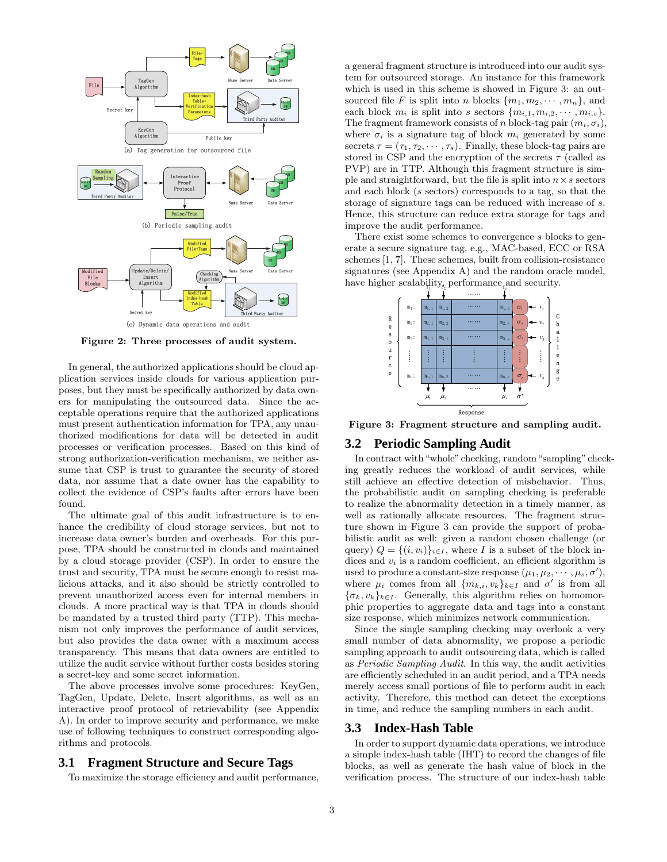

Figure 2: Three processes of audit system.

In general, the authorized applications should be cloud application services inside clouds for various application purposes, but they must be specifically authorized by data owners for manipulating the outsourced data. Since the acceptable operations require that the authorized applications must present authentication information for TPA, any unauthorized modifications for data will be detected in audit processes or verification processes. Based on this kind of strong authorization-verification mechanism, we neither assume that CSP is trust to guarantee the security of stored data, nor assume that a date owner has the capability to collect the evidence of CSP's faults after errors have been found.

The ultimate goal of this audit infrastructure is to enhance the credibility of cloud storage services, but not to increase data owner's burden and overheads. For this purpose, TPA should be constructed in clouds and maintained by a cloud storage provider (CSP). In order to ensure the trust and security, TPA must be secure enough to resist malicious attacks, and it also should be strictly controlled to prevent unauthorized access even for internal members in clouds. A more practical way is that TPA in clouds should be mandated by a trusted third party (TTP). This mechanism not only improves the performance of audit services, but also provides the data owner with a maximum access transparency. This means that data owners are entitled to utilize the audit service without further costs besides storing a secret-key and some secret information.

The above processes involve some procedures: KeyGen, TagGen, Update, Delete, Insert algorithms, as well as an interactive proof protocol of retrievability (see Appendix A). In order to improve security and performance, we make use of following techniques to construct corresponding algorithms and protocols.

#### **3.1 Fragment Structure and Secure Tags**

To maximize the storage efficiency and audit performance,

a general fragment structure is introduced into our audit system for outsourced storage. An instance for this framework which is used in this scheme is showed in Figure 3: an outsourced file F is split into n blocks  $\{m_1, m_2, \cdots, m_n\}$ , and each block  $m_i$  is split into s sectors  $\{m_{i,1}, m_{i,2}, \cdots, m_{i,s}\}.$ The fragment framework consists of n block-tag pair  $(m_i, \sigma_i)$ , where  $\sigma_i$  is a signature tag of block  $m_i$  generated by some secrets  $\tau = (\tau_1, \tau_2, \cdots, \tau_s)$ . Finally, these block-tag pairs are stored in CSP and the encryption of the secrets  $\tau$  (called as PVP) are in TTP. Although this fragment structure is simple and straightforward, but the file is split into  $n \times s$  sectors and each block (s sectors) corresponds to a tag, so that the storage of signature tags can be reduced with increase of s. Hence, this structure can reduce extra storage for tags and improve the audit performance.

There exist some schemes to convergence s blocks to generate a secure signature tag, e.g., MAC-based, ECC or RSA schemes [1, 7]. These schemes, built from collision-resistance signatures (see Appendix A) and the random oracle model, have higher scalability<sub>*t*</sub> performance <sub>*t*</sub> and security.



Figure 3: Fragment structure and sampling audit.

### **3.2 Periodic Sampling Audit**

In contract with "whole" checking, random"sampling" checking greatly reduces the workload of audit services, while still achieve an effective detection of misbehavior. Thus, the probabilistic audit on sampling checking is preferable to realize the abnormality detection in a timely manner, as well as rationally allocate resources. The fragment structure shown in Figure 3 can provide the support of probabilistic audit as well: given a random chosen challenge (or query)  $Q = \{(i, v_i)\}_{i \in I}$ , where I is a subset of the block indices and  $v_i$  is a random coefficient, an efficient algorithm is used to produce a constant-size response  $(\mu_1, \mu_2, \cdots, \mu_s, \sigma')$ , where  $\mu_i$  comes from all  $\{m_{k,i}, v_k\}_{k\in I}$  and  $\sigma'$  is from all  ${\lbrace \sigma_k, v_k \rbrace_{k \in I}}$ . Generally, this algorithm relies on homomorphic properties to aggregate data and tags into a constant size response, which minimizes network communication.

Since the single sampling checking may overlook a very small number of data abnormality, we propose a periodic sampling approach to audit outsourcing data, which is called as Periodic Sampling Audit. In this way, the audit activities are efficiently scheduled in an audit period, and a TPA needs merely access small portions of file to perform audit in each activity. Therefore, this method can detect the exceptions in time, and reduce the sampling numbers in each audit.

#### **3.3 Index-Hash Table**

In order to support dynamic data operations, we introduce a simple index-hash table (IHT) to record the changes of file blocks, as well as generate the hash value of block in the verification process. The structure of our index-hash table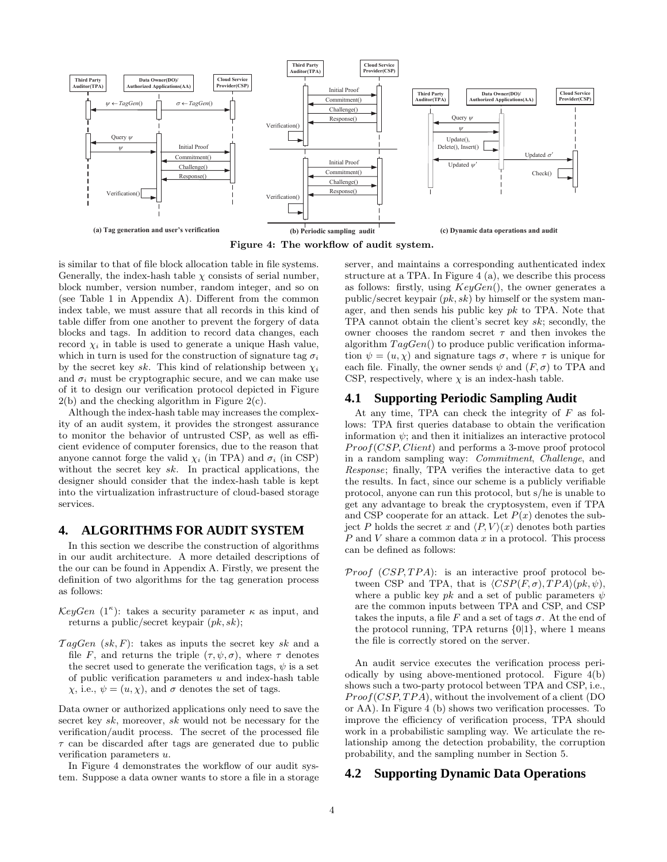

Figure 4: The workflow of audit system.

is similar to that of file block allocation table in file systems. Generally, the index-hash table  $\chi$  consists of serial number, block number, version number, random integer, and so on (see Table 1 in Appendix A). Different from the common index table, we must assure that all records in this kind of table differ from one another to prevent the forgery of data blocks and tags. In addition to record data changes, each record  $\chi_i$  in table is used to generate a unique Hash value, which in turn is used for the construction of signature tag  $\sigma_i$ by the secret key sk. This kind of relationship between  $\chi_i$ and  $\sigma_i$  must be cryptographic secure, and we can make use of it to design our verification protocol depicted in Figure  $2(b)$  and the checking algorithm in Figure  $2(c)$ .

Although the index-hash table may increases the complexity of an audit system, it provides the strongest assurance to monitor the behavior of untrusted CSP, as well as efficient evidence of computer forensics, due to the reason that anyone cannot forge the valid  $\chi_i$  (in TPA) and  $\sigma_i$  (in CSP) without the secret key  $sk$ . In practical applications, the designer should consider that the index-hash table is kept into the virtualization infrastructure of cloud-based storage services.

#### **4. ALGORITHMS FOR AUDIT SYSTEM**

In this section we describe the construction of algorithms in our audit architecture. A more detailed descriptions of the our can be found in Appendix A. Firstly, we present the definition of two algorithms for the tag generation process as follows:

- $KeyGen (1<sup>\kappa</sup>)$ : takes a security parameter  $\kappa$  as input, and returns a public/secret keypair  $(pk, sk);$
- $TagGen (sk, F)$ : takes as inputs the secret key sk and a file F, and returns the triple  $(\tau, \psi, \sigma)$ , where  $\tau$  denotes the secret used to generate the verification tags,  $\psi$  is a set of public verification parameters  $u$  and index-hash table  $\chi$ , i.e.,  $\psi = (u, \chi)$ , and  $\sigma$  denotes the set of tags.

Data owner or authorized applications only need to save the secret key sk, moreover, sk would not be necessary for the verification/audit process. The secret of the processed file  $\tau$  can be discarded after tags are generated due to public verification parameters u.

In Figure 4 demonstrates the workflow of our audit system. Suppose a data owner wants to store a file in a storage server, and maintains a corresponding authenticated index structure at a TPA. In Figure 4 (a), we describe this process as follows: firstly, using  $KeyGen()$ , the owner generates a public/secret keypair  $(pk, sk)$  by himself or the system manager, and then sends his public key  $pk$  to TPA. Note that TPA cannot obtain the client's secret key sk; secondly, the owner chooses the random secret  $\tau$  and then invokes the algorithm  $TagGen()$  to produce public verification information  $\psi = (u, \chi)$  and signature tags  $\sigma$ , where  $\tau$  is unique for each file. Finally, the owner sends  $\psi$  and  $(F, \sigma)$  to TPA and CSP, respectively, where  $\chi$  is an index-hash table.

#### **4.1 Supporting Periodic Sampling Audit**

At any time, TPA can check the integrity of  $F$  as follows: TPA first queries database to obtain the verification information  $\psi$ ; and then it initializes an interactive protocol Proof(CSP, Client) and performs a 3-move proof protocol in a random sampling way: Commitment, Challenge, and Response; finally, TPA verifies the interactive data to get the results. In fact, since our scheme is a publicly verifiable protocol, anyone can run this protocol, but s/he is unable to get any advantage to break the cryptosystem, even if TPA and CSP cooperate for an attack. Let  $P(x)$  denotes the subject P holds the secret x and  $\langle P, V \rangle (x)$  denotes both parties  $P$  and  $V$  share a common data  $x$  in a protocol. This process can be defined as follows:

*Proof*  $(CSP, TPA)$ *:* is an interactive proof protocol between CSP and TPA, that is  $\langle CSP(F,\sigma),TPA\rangle(pk,\psi),$ where a public key  $pk$  and a set of public parameters  $\psi$ are the common inputs between TPA and CSP, and CSP takes the inputs, a file F and a set of tags  $\sigma$ . At the end of the protocol running, TPA returns  $\{0|1\}$ , where 1 means the file is correctly stored on the server.

An audit service executes the verification process periodically by using above-mentioned protocol. Figure 4(b) shows such a two-party protocol between TPA and CSP, i.e.,  $Proof(CSP, TPA)$ , without the involvement of a client (DO or AA). In Figure 4 (b) shows two verification processes. To improve the efficiency of verification process, TPA should work in a probabilistic sampling way. We articulate the relationship among the detection probability, the corruption probability, and the sampling number in Section 5.

#### **4.2 Supporting Dynamic Data Operations**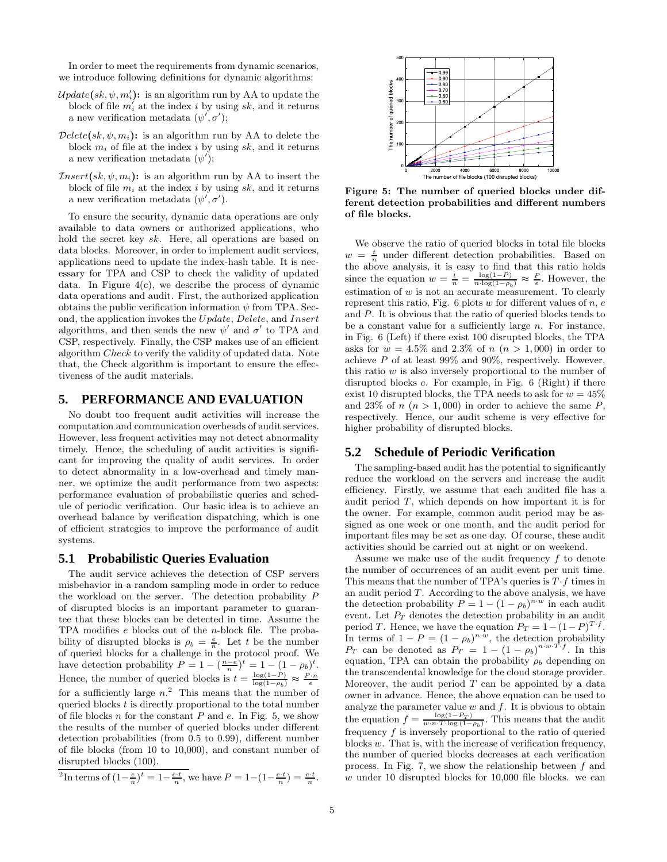In order to meet the requirements from dynamic scenarios, we introduce following definitions for dynamic algorithms:

- $\mathcal{U}pdate(sk, \psi, m'_i)$ : is an algorithm run by AA to update the block of file  $m'_i$  at the index i by using sk, and it returns a new verification metadata  $(\psi', \sigma')$ ;
- $Delete(sk, \psi, m_i):$  is an algorithm run by AA to delete the block  $m_i$  of file at the index i by using sk, and it returns a new verification metadata  $(\psi')$ ;
- $Insert(sk, \psi, m_i):$  is an algorithm run by AA to insert the block of file  $m_i$  at the index i by using sk, and it returns a new verification metadata  $(\psi', \sigma')$ .

To ensure the security, dynamic data operations are only available to data owners or authorized applications, who hold the secret key sk. Here, all operations are based on data blocks. Moreover, in order to implement audit services, applications need to update the index-hash table. It is necessary for TPA and CSP to check the validity of updated data. In Figure  $4(c)$ , we describe the process of dynamic data operations and audit. First, the authorized application obtains the public verification information  $\psi$  from TPA. Second, the application invokes the Update, Delete, and Insert algorithms, and then sends the new  $\psi'$  and  $\sigma'$  to TPA and CSP, respectively. Finally, the CSP makes use of an efficient algorithm Check to verify the validity of updated data. Note that, the Check algorithm is important to ensure the effectiveness of the audit materials.

#### **5. PERFORMANCE AND EVALUATION**

No doubt too frequent audit activities will increase the computation and communication overheads of audit services. However, less frequent activities may not detect abnormality timely. Hence, the scheduling of audit activities is significant for improving the quality of audit services. In order to detect abnormality in a low-overhead and timely manner, we optimize the audit performance from two aspects: performance evaluation of probabilistic queries and schedule of periodic verification. Our basic idea is to achieve an overhead balance by verification dispatching, which is one of efficient strategies to improve the performance of audit systems.

#### **5.1 Probabilistic Queries Evaluation**

The audit service achieves the detection of CSP servers misbehavior in a random sampling mode in order to reduce the workload on the server. The detection probability P of disrupted blocks is an important parameter to guarantee that these blocks can be detected in time. Assume the TPA modifies e blocks out of the n-block file. The probability of disrupted blocks is  $\rho_b = \frac{e}{n}$ . Let t be the number of queried blocks for a challenge in the protocol proof. We have detection probability  $P = 1 - \left(\frac{n-e}{n}\right)^t = 1 - (1 - \rho_b)^t$ . Hence, the number of queried blocks is  $t = \frac{\log(1-P)}{\log(1-\rho_b)} \approx \frac{P \cdot n}{e}$ for a sufficiently large  $n^2$ . This means that the number of queried blocks  $t$  is directly proportional to the total number of file blocks n for the constant  $P$  and  $e$ . In Fig. 5, we show the results of the number of queried blocks under different detection probabilities (from 0.5 to 0.99), different number of file blocks (from 10 to 10,000), and constant number of disrupted blocks (100).



Figure 5: The number of queried blocks under different detection probabilities and different numbers of file blocks.

We observe the ratio of queried blocks in total file blocks  $w = \frac{t}{n}$  under different detection probabilities. Based on the above analysis, it is easy to find that this ratio holds since the equation  $w = \frac{t}{n} = \frac{\log(1-P)}{n \cdot \log(1-\rho_b)} \approx \frac{P}{e}$ . However, the estimation of  $w$  is not an accurate measurement. To clearly represent this ratio, Fig.  $6$  plots  $w$  for different values of  $n, e$ and P. It is obvious that the ratio of queried blocks tends to be a constant value for a sufficiently large  $n$ . For instance, in Fig. 6 (Left) if there exist 100 disrupted blocks, the TPA asks for  $w = 4.5\%$  and 2.3% of  $n (n > 1,000)$  in order to achieve  $P$  of at least 99% and 90%, respectively. However, this ratio  $w$  is also inversely proportional to the number of disrupted blocks e. For example, in Fig. 6 (Right) if there exist 10 disrupted blocks, the TPA needs to ask for  $w = 45\%$ and 23% of  $n (n > 1,000)$  in order to achieve the same P, respectively. Hence, our audit scheme is very effective for higher probability of disrupted blocks.

#### **5.2 Schedule of Periodic Verification**

The sampling-based audit has the potential to significantly reduce the workload on the servers and increase the audit efficiency. Firstly, we assume that each audited file has a audit period  $T$ , which depends on how important it is for the owner. For example, common audit period may be assigned as one week or one month, and the audit period for important files may be set as one day. Of course, these audit activities should be carried out at night or on weekend.

Assume we make use of the audit frequency  $f$  to denote the number of occurrences of an audit event per unit time. This means that the number of TPA's queries is  $T \cdot f$  times in an audit period T. According to the above analysis, we have the detection probability  $P = 1 - (1 - \rho_b)^{n \cdot w}$  in each audit event. Let  $P_T$  denotes the detection probability in an audit period T. Hence, we have the equation  $P_T = 1 - (1 - P)^{T \cdot f}$ . In terms of  $1 - P = (1 - \rho_b)^{n \cdot \hat{w}}$ , the detection probability  $P_T$  can be denoted as  $P_T = 1 - (1 - \rho_b)^{n \cdot w \cdot \hat{T} \cdot f}$ . In this equation, TPA can obtain the probability  $\rho_b$  depending on the transcendental knowledge for the cloud storage provider. Moreover, the audit period  $T$  can be appointed by a data owner in advance. Hence, the above equation can be used to analyze the parameter value  $w$  and  $f$ . It is obvious to obtain the equation  $f = \frac{\log(1 - P_T)}{w \cdot n \cdot T \cdot \log(1 - \rho_b)}$ . This means that the audit frequency  $f$  is inversely proportional to the ratio of queried blocks  $w$ . That is, with the increase of verification frequency, the number of queried blocks decreases at each verification process. In Fig. 7, we show the relationship between  $f$  and  $w$  under 10 disrupted blocks for 10,000 file blocks. we can

<sup>&</sup>lt;sup>2</sup>In terms of  $(1-\frac{e}{n})^t = 1-\frac{e\cdot t}{n}$ , we have  $P = 1-(1-\frac{e\cdot t}{n}) = \frac{e\cdot t}{n}$ .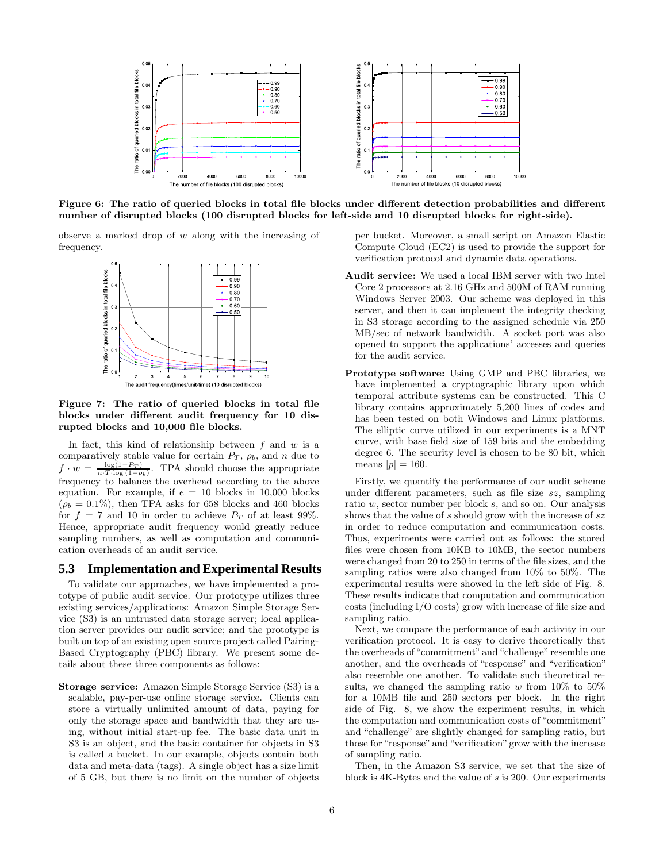

Figure 6: The ratio of queried blocks in total file blocks under different detection probabilities and different number of disrupted blocks (100 disrupted blocks for left-side and 10 disrupted blocks for right-side).

observe a marked drop of  $w$  along with the increasing of frequency.



Figure 7: The ratio of queried blocks in total file blocks under different audit frequency for 10 disrupted blocks and 10,000 file blocks.

In fact, this kind of relationship between  $f$  and  $w$  is a comparatively stable value for certain  $P_T$ ,  $\rho_b$ , and n due to  $f \cdot w = \frac{\log(1 - P_T)}{n \cdot T \cdot \log(1 - \rho_b)}$ . TPA should choose the appropriate frequency to balance the overhead according to the above equation. For example, if  $e = 10$  blocks in 10,000 blocks  $(\rho_b = 0.1\%)$ , then TPA asks for 658 blocks and 460 blocks for  $f = 7$  and 10 in order to achieve  $P_T$  of at least 99%. Hence, appropriate audit frequency would greatly reduce sampling numbers, as well as computation and communication overheads of an audit service.

#### **5.3 Implementation and Experimental Results**

To validate our approaches, we have implemented a prototype of public audit service. Our prototype utilizes three existing services/applications: Amazon Simple Storage Service (S3) is an untrusted data storage server; local application server provides our audit service; and the prototype is built on top of an existing open source project called Pairing-Based Cryptography (PBC) library. We present some details about these three components as follows:

Storage service: Amazon Simple Storage Service (S3) is a scalable, pay-per-use online storage service. Clients can store a virtually unlimited amount of data, paying for only the storage space and bandwidth that they are using, without initial start-up fee. The basic data unit in S3 is an object, and the basic container for objects in S3 is called a bucket. In our example, objects contain both data and meta-data (tags). A single object has a size limit of 5 GB, but there is no limit on the number of objects per bucket. Moreover, a small script on Amazon Elastic Compute Cloud (EC2) is used to provide the support for verification protocol and dynamic data operations.

- Audit service: We used a local IBM server with two Intel Core 2 processors at 2.16 GHz and 500M of RAM running Windows Server 2003. Our scheme was deployed in this server, and then it can implement the integrity checking in S3 storage according to the assigned schedule via 250 MB/sec of network bandwidth. A socket port was also opened to support the applications' accesses and queries for the audit service.
- Prototype software: Using GMP and PBC libraries, we have implemented a cryptographic library upon which temporal attribute systems can be constructed. This C library contains approximately 5,200 lines of codes and has been tested on both Windows and Linux platforms. The elliptic curve utilized in our experiments is a MNT curve, with base field size of 159 bits and the embedding degree 6. The security level is chosen to be 80 bit, which means  $|p|=160$ .

Firstly, we quantify the performance of our audit scheme under different parameters, such as file size sz, sampling ratio w, sector number per block s, and so on. Our analysis shows that the value of s should grow with the increase of  $sz$ in order to reduce computation and communication costs. Thus, experiments were carried out as follows: the stored files were chosen from 10KB to 10MB, the sector numbers were changed from 20 to 250 in terms of the file sizes, and the sampling ratios were also changed from 10% to 50%. The experimental results were showed in the left side of Fig. 8. These results indicate that computation and communication costs (including I/O costs) grow with increase of file size and sampling ratio.

Next, we compare the performance of each activity in our verification protocol. It is easy to derive theoretically that the overheads of "commitment" and "challenge" resemble one another, and the overheads of "response" and "verification" also resemble one another. To validate such theoretical results, we changed the sampling ratio w from  $10\%$  to  $50\%$ for a 10MB file and 250 sectors per block. In the right side of Fig. 8, we show the experiment results, in which the computation and communication costs of "commitment" and "challenge" are slightly changed for sampling ratio, but those for "response" and "verification" grow with the increase of sampling ratio.

Then, in the Amazon S3 service, we set that the size of block is 4K-Bytes and the value of s is 200. Our experiments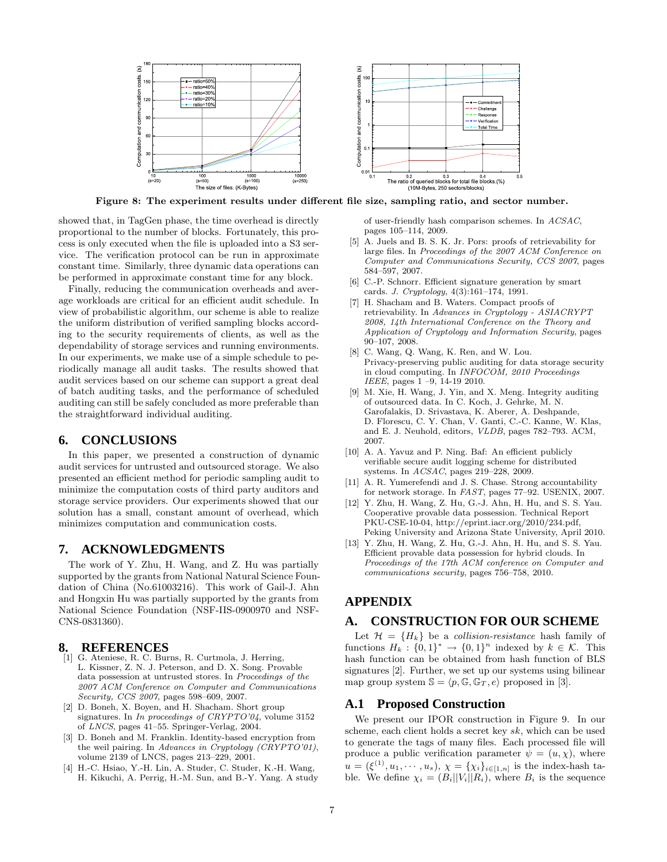

Figure 8: The experiment results under different file size, sampling ratio, and sector number.

showed that, in TagGen phase, the time overhead is directly proportional to the number of blocks. Fortunately, this process is only executed when the file is uploaded into a S3 service. The verification protocol can be run in approximate constant time. Similarly, three dynamic data operations can be performed in approximate constant time for any block.

Finally, reducing the communication overheads and average workloads are critical for an efficient audit schedule. In view of probabilistic algorithm, our scheme is able to realize the uniform distribution of verified sampling blocks according to the security requirements of clients, as well as the dependability of storage services and running environments. In our experiments, we make use of a simple schedule to periodically manage all audit tasks. The results showed that audit services based on our scheme can support a great deal of batch auditing tasks, and the performance of scheduled auditing can still be safely concluded as more preferable than the straightforward individual auditing.

#### **6. CONCLUSIONS**

In this paper, we presented a construction of dynamic audit services for untrusted and outsourced storage. We also presented an efficient method for periodic sampling audit to minimize the computation costs of third party auditors and storage service providers. Our experiments showed that our solution has a small, constant amount of overhead, which minimizes computation and communication costs.

### **7. ACKNOWLEDGMENTS**

The work of Y. Zhu, H. Wang, and Z. Hu was partially supported by the grants from National Natural Science Foundation of China (No.61003216). This work of Gail-J. Ahn and Hongxin Hu was partially supported by the grants from National Science Foundation (NSF-IIS-0900970 and NSF-CNS-0831360).

### **8. REFERENCES**

- [1] G. Ateniese, R. C. Burns, R. Curtmola, J. Herring, L. Kissner, Z. N. J. Peterson, and D. X. Song. Provable data possession at untrusted stores. In Proceedings of the 2007 ACM Conference on Computer and Communications Security, CCS 2007, pages 598–609, 2007.
- [2] D. Boneh, X. Boyen, and H. Shacham. Short group signatures. In *In proceedings of CRYPTO'04*, volume 3152 of LNCS, pages 41–55. Springer-Verlag, 2004.
- [3] D. Boneh and M. Franklin. Identity-based encryption from the weil pairing. In Advances in Cryptology (CRYPTO'01), volume 2139 of LNCS, pages 213–229, 2001.
- [4] H.-C. Hsiao, Y.-H. Lin, A. Studer, C. Studer, K.-H. Wang, H. Kikuchi, A. Perrig, H.-M. Sun, and B.-Y. Yang. A study

of user-friendly hash comparison schemes. In ACSAC, pages 105–114, 2009.

- [5] A. Juels and B. S. K. Jr. Pors: proofs of retrievability for large files. In Proceedings of the 2007 ACM Conference on Computer and Communications Security, CCS 2007, pages 584–597, 2007.
- [6] C.-P. Schnorr. Efficient signature generation by smart cards. J. Cryptology, 4(3):161–174, 1991.
- [7] H. Shacham and B. Waters. Compact proofs of retrievability. In Advances in Cryptology - ASIACRYPT 2008, 14th International Conference on the Theory and Application of Cryptology and Information Security, pages 90–107, 2008.
- [8] C. Wang, Q. Wang, K. Ren, and W. Lou. Privacy-preserving public auditing for data storage security in cloud computing. In INFOCOM, 2010 Proceedings IEEE, pages 1 –9, 14-19 2010.
- [9] M. Xie, H. Wang, J. Yin, and X. Meng. Integrity auditing of outsourced data. In C. Koch, J. Gehrke, M. N. Garofalakis, D. Srivastava, K. Aberer, A. Deshpande, D. Florescu, C. Y. Chan, V. Ganti, C.-C. Kanne, W. Klas, and E. J. Neuhold, editors, VLDB, pages 782–793. ACM, 2007.
- [10] A. A. Yavuz and P. Ning. Baf: An efficient publicly verifiable secure audit logging scheme for distributed systems. In ACSAC, pages 219–228, 2009.
- [11] A. R. Yumerefendi and J. S. Chase. Strong accountability for network storage. In FAST, pages 77–92. USENIX, 2007.
- [12] Y. Zhu, H. Wang, Z. Hu, G.-J. Ahn, H. Hu, and S. S. Yau. Cooperative provable data possession. Technical Report PKU-CSE-10-04, http://eprint.iacr.org/2010/234.pdf, Peking University and Arizona State University, April 2010.
- [13] Y. Zhu, H. Wang, Z. Hu, G.-J. Ahn, H. Hu, and S. S. Yau. Efficient provable data possession for hybrid clouds. In Proceedings of the 17th ACM conference on Computer and communications security, pages 756–758, 2010.

# **APPENDIX**

#### **A. CONSTRUCTION FOR OUR SCHEME**

Let  $\mathcal{H} = \{H_k\}$  be a *collision-resistance* hash family of functions  $H_k: \{0,1\}^* \to \{0,1\}^n$  indexed by  $k \in \mathcal{K}$ . This hash function can be obtained from hash function of BLS signatures [2]. Further, we set up our systems using bilinear map group system  $\mathbb{S} = \langle p, \mathbb{G}, \mathbb{G}_T, e \rangle$  proposed in [3].

#### **A.1 Proposed Construction**

We present our IPOR construction in Figure 9. In our scheme, each client holds a secret key sk, which can be used to generate the tags of many files. Each processed file will produce a public verification parameter  $\psi = (u, \chi)$ , where  $u = (\xi^{(1)}, u_1, \dots, u_s), \chi = {\chi_i}_{i \in [1, n]}$  is the index-hash table. We define  $\chi_i = (B_i||V_i||R_i)$ , where  $B_i$  is the sequence